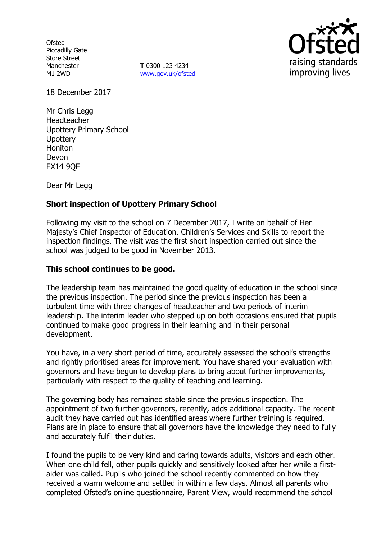**Ofsted** Piccadilly Gate Store Street Manchester M1 2WD

**T** 0300 123 4234 www.gov.uk/ofsted



18 December 2017

Mr Chris Legg Headteacher Upottery Primary School **Upottery** Honiton Devon EX14 9QF

Dear Mr Legg

# **Short inspection of Upottery Primary School**

Following my visit to the school on 7 December 2017, I write on behalf of Her Majesty's Chief Inspector of Education, Children's Services and Skills to report the inspection findings. The visit was the first short inspection carried out since the school was judged to be good in November 2013.

#### **This school continues to be good.**

The leadership team has maintained the good quality of education in the school since the previous inspection. The period since the previous inspection has been a turbulent time with three changes of headteacher and two periods of interim leadership. The interim leader who stepped up on both occasions ensured that pupils continued to make good progress in their learning and in their personal development.

You have, in a very short period of time, accurately assessed the school's strengths and rightly prioritised areas for improvement. You have shared your evaluation with governors and have begun to develop plans to bring about further improvements, particularly with respect to the quality of teaching and learning.

The governing body has remained stable since the previous inspection. The appointment of two further governors, recently, adds additional capacity. The recent audit they have carried out has identified areas where further training is required. Plans are in place to ensure that all governors have the knowledge they need to fully and accurately fulfil their duties.

I found the pupils to be very kind and caring towards adults, visitors and each other. When one child fell, other pupils quickly and sensitively looked after her while a firstaider was called. Pupils who joined the school recently commented on how they received a warm welcome and settled in within a few days. Almost all parents who completed Ofsted's online questionnaire, Parent View, would recommend the school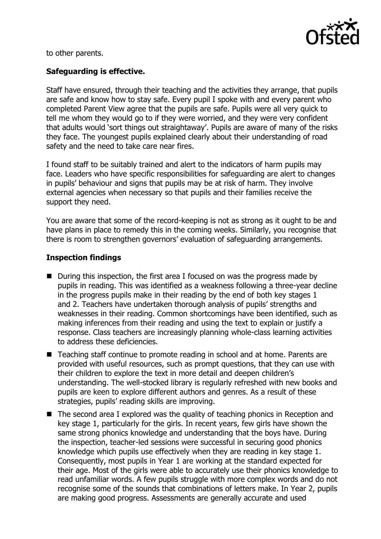

to other parents.

## **Safeguarding is effective.**

Staff have ensured, through their teaching and the activities they arrange, that pupils are safe and know how to stay safe. Every pupil I spoke with and every parent who completed Parent View agree that the pupils are safe. Pupils were all very quick to tell me whom they would go to if they were worried, and they were very confident that adults would 'sort things out straightaway'. Pupils are aware of many of the risks they face. The youngest pupils explained clearly about their understanding of road safety and the need to take care near fires.

I found staff to be suitably trained and alert to the indicators of harm pupils may face. Leaders who have specific responsibilities for safeguarding are alert to changes in pupils' behaviour and signs that pupils may be at risk of harm. They involve external agencies when necessary so that pupils and their families receive the support they need.

You are aware that some of the record-keeping is not as strong as it ought to be and have plans in place to remedy this in the coming weeks. Similarly, you recognise that there is room to strengthen governors' evaluation of safeguarding arrangements.

## **Inspection findings**

- During this inspection, the first area I focused on was the progress made by pupils in reading. This was identified as a weakness following a three-year decline in the progress pupils make in their reading by the end of both key stages 1 and 2. Teachers have undertaken thorough analysis of pupils' strengths and weaknesses in their reading. Common shortcomings have been identified, such as making inferences from their reading and using the text to explain or justify a response. Class teachers are increasingly planning whole-class learning activities to address these deficiencies.
- Teaching staff continue to promote reading in school and at home. Parents are provided with useful resources, such as prompt questions, that they can use with their children to explore the text in more detail and deepen children's understanding. The well-stocked library is regularly refreshed with new books and pupils are keen to explore different authors and genres. As a result of these strategies, pupils' reading skills are improving.
- The second area I explored was the quality of teaching phonics in Reception and key stage 1, particularly for the girls. In recent years, few girls have shown the same strong phonics knowledge and understanding that the boys have. During the inspection, teacher-led sessions were successful in securing good phonics knowledge which pupils use effectively when they are reading in key stage 1. Consequently, most pupils in Year 1 are working at the standard expected for their age. Most of the girls were able to accurately use their phonics knowledge to read unfamiliar words. A few pupils struggle with more complex words and do not recognise some of the sounds that combinations of letters make. In Year 2, pupils are making good progress. Assessments are generally accurate and used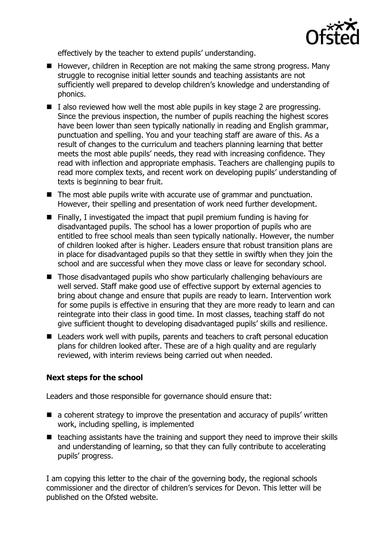

effectively by the teacher to extend pupils' understanding.

- $\blacksquare$  However, children in Reception are not making the same strong progress. Many struggle to recognise initial letter sounds and teaching assistants are not sufficiently well prepared to develop children's knowledge and understanding of phonics.
- $\blacksquare$  I also reviewed how well the most able pupils in key stage 2 are progressing. Since the previous inspection, the number of pupils reaching the highest scores have been lower than seen typically nationally in reading and English grammar, punctuation and spelling. You and your teaching staff are aware of this. As a result of changes to the curriculum and teachers planning learning that better meets the most able pupils' needs, they read with increasing confidence. They read with inflection and appropriate emphasis. Teachers are challenging pupils to read more complex texts, and recent work on developing pupils' understanding of texts is beginning to bear fruit.
- $\blacksquare$  The most able pupils write with accurate use of grammar and punctuation. However, their spelling and presentation of work need further development.
- $\blacksquare$  Finally, I investigated the impact that pupil premium funding is having for disadvantaged pupils. The school has a lower proportion of pupils who are entitled to free school meals than seen typically nationally. However, the number of children looked after is higher. Leaders ensure that robust transition plans are in place for disadvantaged pupils so that they settle in swiftly when they join the school and are successful when they move class or leave for secondary school.
- Those disadvantaged pupils who show particularly challenging behaviours are well served. Staff make good use of effective support by external agencies to bring about change and ensure that pupils are ready to learn. Intervention work for some pupils is effective in ensuring that they are more ready to learn and can reintegrate into their class in good time. In most classes, teaching staff do not give sufficient thought to developing disadvantaged pupils' skills and resilience.
- Leaders work well with pupils, parents and teachers to craft personal education plans for children looked after. These are of a high quality and are regularly reviewed, with interim reviews being carried out when needed.

## **Next steps for the school**

Leaders and those responsible for governance should ensure that:

- $\blacksquare$  a coherent strategy to improve the presentation and accuracy of pupils' written work, including spelling, is implemented
- $\blacksquare$  teaching assistants have the training and support they need to improve their skills and understanding of learning, so that they can fully contribute to accelerating pupils' progress.

I am copying this letter to the chair of the governing body, the regional schools commissioner and the director of children's services for Devon. This letter will be published on the Ofsted website.